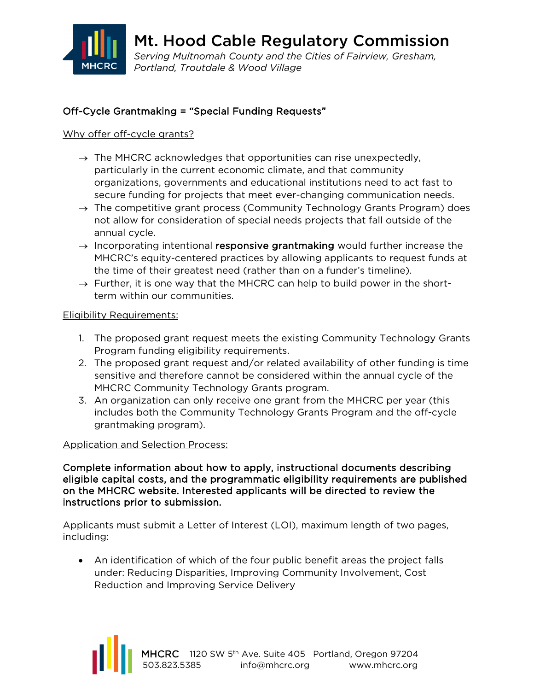

Mt. Hood Cable Regulatory Commission *Serving Multnomah County and the Cities of Fairview, Gresham, Portland, Troutdale & Wood Village*

# Off-Cycle Grantmaking = "Special Funding Requests"

## Why offer off-cycle grants?

- $\rightarrow$  The MHCRC acknowledges that opportunities can rise unexpectedly, particularly in the current economic climate, and that community organizations, governments and educational institutions need to act fast to secure funding for projects that meet ever-changing communication needs.
- $\rightarrow$  The competitive grant process (Community Technology Grants Program) does not allow for consideration of special needs projects that fall outside of the annual cycle.
- $\rightarrow$  Incorporating intentional responsive grantmaking would further increase the MHCRC's equity-centered practices by allowing applicants to request funds at the time of their greatest need (rather than on a funder's timeline).
- $\rightarrow$  Further, it is one way that the MHCRC can help to build power in the shortterm within our communities.

## Eligibility Requirements:

- 1. The proposed grant request meets the existing Community Technology Grants Program funding eligibility requirements.
- 2. The proposed grant request and/or related availability of other funding is time sensitive and therefore cannot be considered within the annual cycle of the MHCRC Community Technology Grants program.
- 3. An organization can only receive one grant from the MHCRC per year (this includes both the Community Technology Grants Program and the off-cycle grantmaking program).

## Application and Selection Process:

Complete information about how to apply, instructional documents describing eligible capital costs, and the programmatic eligibility requirements are published on the MHCRC website. Interested applicants will be directed to review the instructions prior to submission.

Applicants must submit a Letter of Interest (LOI), maximum length of two pages, including:

• An identification of which of the four public benefit areas the project falls under: Reducing Disparities, Improving Community Involvement, Cost Reduction and Improving Service Delivery

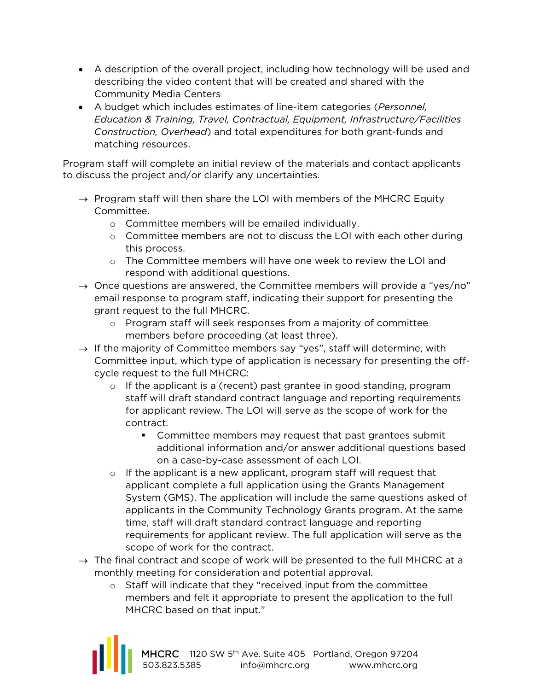- A description of the overall project, including how technology will be used and describing the video content that will be created and shared with the Community Media Centers
- A budget which includes estimates of line-item categories (*Personnel, Education & Training, Travel, Contractual, Equipment, Infrastructure/Facilities Construction, Overhead*) and total expenditures for both grant-funds and matching resources.

Program staff will complete an initial review of the materials and contact applicants to discuss the project and/or clarify any uncertainties.

- $\rightarrow$  Program staff will then share the LOI with members of the MHCRC Equity Committee.
	- o Committee members will be emailed individually.
	- $\circ$  Committee members are not to discuss the LOI with each other during this process.
	- o The Committee members will have one week to review the LOI and respond with additional questions.
- $\rightarrow$  Once questions are answered, the Committee members will provide a "yes/no" email response to program staff, indicating their support for presenting the grant request to the full MHCRC.
	- o Program staff will seek responses from a majority of committee members before proceeding (at least three).
- $\rightarrow$  If the majority of Committee members say "yes", staff will determine, with Committee input, which type of application is necessary for presenting the offcycle request to the full MHCRC:
	- $\circ$  If the applicant is a (recent) past grantee in good standing, program staff will draft standard contract language and reporting requirements for applicant review. The LOI will serve as the scope of work for the contract.
		- Committee members may request that past grantees submit additional information and/or answer additional questions based on a case-by-case assessment of each LOI.
	- $\circ$  If the applicant is a new applicant, program staff will request that applicant complete a full application using the Grants Management System (GMS). The application will include the same questions asked of applicants in the Community Technology Grants program. At the same time, staff will draft standard contract language and reporting requirements for applicant review. The full application will serve as the scope of work for the contract.
- $\rightarrow$  The final contract and scope of work will be presented to the full MHCRC at a monthly meeting for consideration and potential approval.
	- o Staff will indicate that they "received input from the committee members and felt it appropriate to present the application to the full MHCRC based on that input."